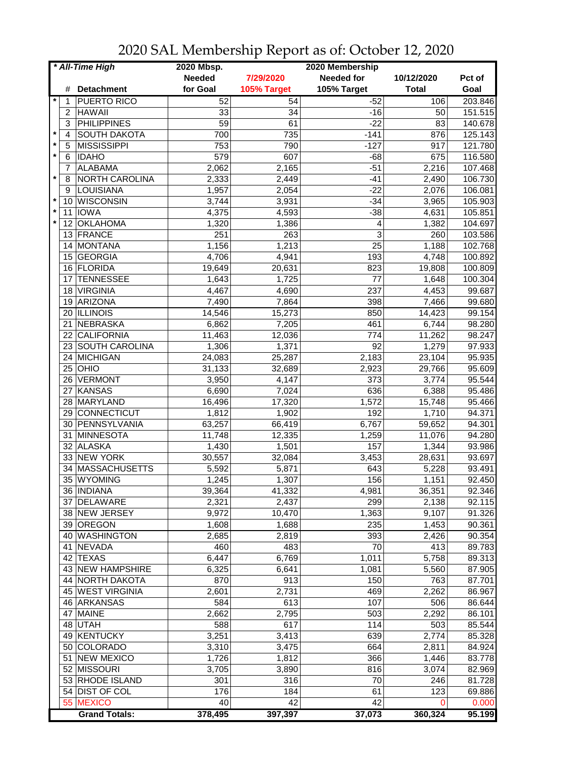| * All-Time High |     |                       | 2020 Mbsp.    |             | 2020 Membership   |              |         |
|-----------------|-----|-----------------------|---------------|-------------|-------------------|--------------|---------|
|                 |     |                       | <b>Needed</b> | 7/29/2020   | <b>Needed for</b> | 10/12/2020   | Pct of  |
|                 | #   | <b>Detachment</b>     | for Goal      | 105% Target | 105% Target       | <b>Total</b> | Goal    |
| $^\star$        | 1   | PUERTO RICO           | 52            | 54          | $-52$             | 106          | 203.846 |
|                 | 2   | <b>HAWAII</b>         | 33            | 34          | $-16$             | 50           | 151.515 |
|                 | 3   | <b>PHILIPPINES</b>    | 59            | 61          | $-22$             | 83           | 140.678 |
| $\ast$          |     | <b>SOUTH DAKOTA</b>   |               |             |                   |              |         |
|                 | 4   |                       | 700           | 735         | $-141$            | 876          | 125.143 |
|                 | 5   | MISSISSIPPI           | 753           | 790         | $-127$            | 917          | 121.780 |
| $\star$         | 6   | <b>IDAHO</b>          | 579           | 607         | $-68$             | 675          | 116.580 |
|                 | 7   | <b>ALABAMA</b>        | 2,062         | 2,165       | $-51$             | 2,216        | 107.468 |
| $\star$         | 8   | <b>NORTH CAROLINA</b> | 2,333         | 2,449       | $-41$             | 2,490        | 106.730 |
|                 | 9   | LOUISIANA             | 1,957         | 2,054       | $-22$             | 2,076        | 106.081 |
| $\star$         | 10  | <b>WISCONSIN</b>      | 3,744         | 3,931       | $-34$             | 3,965        | 105.903 |
| $\star$         | 11  | <b>IOWA</b>           | 4,375         | 4,593       | $-38$             | 4,631        | 105.851 |
| $\star$         | 12  | <b>OKLAHOMA</b>       | 1,320         | 1,386       | 4                 | 1,382        | 104.697 |
|                 | 13. | FRANCE                | 251           | 263         | 3                 | 260          | 103.586 |
|                 | 14  | <b>MONTANA</b>        | 1,156         | 1,213       | 25                | 1,188        | 102.768 |
|                 | 15  | <b>GEORGIA</b>        | 4,706         | 4,941       | 193               | 4,748        | 100.892 |
|                 | 16  | FLORIDA               | 19,649        | 20,631      | 823               | 19,808       | 100.809 |
|                 | 17  | <b>TENNESSEE</b>      | 1,643         | 1,725       | 77                | 1,648        | 100.304 |
|                 | 18  | <b>VIRGINIA</b>       | 4,467         | 4,690       | 237               | 4,453        | 99.687  |
|                 |     | ARIZONA               | 7,490         |             | 398               | 7,466        |         |
|                 | 19  |                       |               | 7,864       |                   |              | 99.680  |
|                 |     | 20 ILLINOIS           | 14,546        | 15,273      | 850               | 14,423       | 99.154  |
|                 | 21  | NEBRASKA              | 6,862         | 7,205       | 461               | 6,744        | 98.280  |
|                 | 22  | <b>CALIFORNIA</b>     | 11,463        | 12,036      | 774               | 11,262       | 98.247  |
|                 |     | 23 SOUTH CAROLINA     | 1,306         | 1,371       | $\overline{92}$   | 1,279        | 97.933  |
|                 |     | 24 MICHIGAN           | 24,083        | 25,287      | 2,183             | 23,104       | 95.935  |
|                 | 25  | OHIO                  | 31,133        | 32,689      | 2,923             | 29,766       | 95.609  |
|                 | 26  | VERMONT               | 3,950         | 4,147       | 373               | 3,774        | 95.544  |
|                 | 27  | KANSAS                | 6,690         | 7,024       | 636               | 6,388        | 95.486  |
|                 | 28  | MARYLAND              | 16,496        | 17,320      | 1,572             | 15,748       | 95.466  |
|                 | 29  | CONNECTICUT           | 1,812         | 1,902       | 192               | 1,710        | 94.371  |
|                 |     | 30 PENNSYLVANIA       | 63,257        | 66,419      | 6,767             | 59,652       | 94.301  |
|                 | 31  | MINNESOTA             | 11,748        | 12,335      | 1,259             | 11,076       | 94.280  |
|                 | 32  | <b>ALASKA</b>         | 1,430         | 1,501       | 157               | 1,344        | 93.986  |
|                 |     | 33 NEW YORK           | 30,557        | 32,084      | 3,453             | 28,631       | 93.697  |
|                 | 34  | <b>MASSACHUSETTS</b>  | 5,592         | 5,871       | 643               | 5,228        | 93.491  |
|                 | 35  | <b>WYOMING</b>        | 1,245         | 1,307       | 156               | 1,151        | 92.450  |
|                 |     | 36 INDIANA            |               |             | 4,981             |              |         |
|                 |     |                       | 39,364        | 41,332      |                   | 36,351       | 92.346  |
|                 |     | 37 DELAWARE           | 2,321         | 2,437       | 299               | 2,138        | 92.115  |
|                 |     | 38 NEW JERSEY         | 9,972         | 10,470      | 1,363             | 9,107        | 91.326  |
|                 |     | 39 OREGON             | 1,608         | 1,688       | 235               | 1,453        | 90.361  |
|                 |     | 40 WASHINGTON         | 2,685         | 2,819       | 393               | 2,426        | 90.354  |
|                 |     | 41 NEVADA             | 460           | 483         | 70                | 413          | 89.783  |
|                 | 42  | <b>TEXAS</b>          | 6,447         | 6,769       | 1,011             | 5,758        | 89.313  |
|                 |     | 43 NEW HAMPSHIRE      | 6,325         | 6,641       | 1,081             | 5,560        | 87.905  |
|                 |     | 44 NORTH DAKOTA       | 870           | 913         | 150               | 763          | 87.701  |
|                 |     | 45 WEST VIRGINIA      | 2,601         | 2,731       | 469               | 2,262        | 86.967  |
|                 |     | 46 ARKANSAS           | 584           | 613         | 107               | 506          | 86.644  |
|                 | 47  | <b>MAINE</b>          | 2,662         | 2,795       | 503               | 2,292        | 86.101  |
|                 | 48  | UTAH                  | 588           | 617         | 114               | 503          | 85.544  |
|                 |     | 49 KENTUCKY           | 3,251         | 3,413       | 639               | 2,774        | 85.328  |
|                 | 50  | COLORADO              | 3,310         | 3,475       | 664               | 2,811        | 84.924  |
|                 |     | <b>NEW MEXICO</b>     |               |             | 366               |              |         |
|                 | 51  |                       | 1,726         | 1,812       |                   | 1,446        | 83.778  |
|                 |     | 52 MISSOURI           | 3,705         | 3,890       | 816               | 3,074        | 82.969  |
|                 |     | 53 RHODE ISLAND       | 301           | 316         | 70                | 246          | 81.728  |
|                 |     | 54 DIST OF COL        | 176           | 184         | 61                | 123          | 69.886  |
|                 |     | 55 MEXICO             | 40            | 42          | 42                | 0            | 0.000   |
|                 |     | <b>Grand Totals:</b>  | 378,495       | 397,397     | 37,073            | 360,324      | 95.199  |

2020 SAL Membership Report as of: October 12, 2020